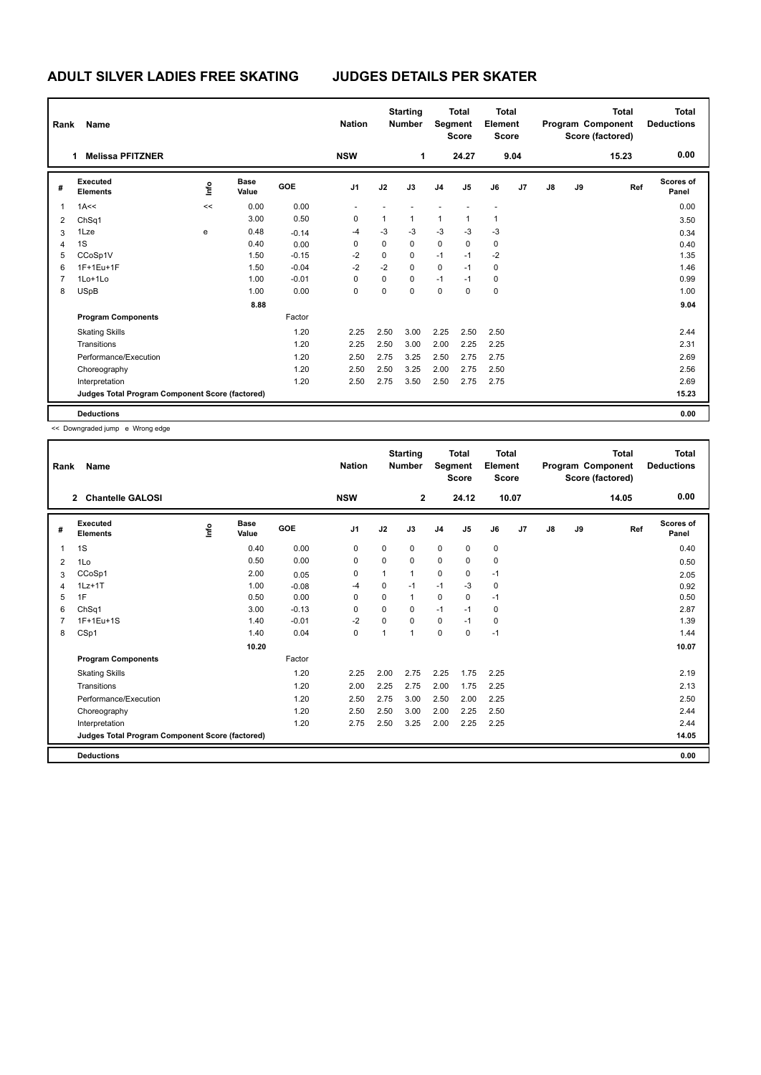## **ADULT SILVER LADIES FREE SKATING JUDGES DETAILS PER SKATER**

| Rank           | Name                                            |      |                      |            | <b>Nation</b>  |             | <b>Starting</b><br><b>Number</b> | Segment        | <b>Total</b><br><b>Score</b> | <b>Total</b><br>Element<br><b>Score</b> |      |               |    | <b>Total</b><br>Program Component<br>Score (factored) | <b>Total</b><br><b>Deductions</b> |
|----------------|-------------------------------------------------|------|----------------------|------------|----------------|-------------|----------------------------------|----------------|------------------------------|-----------------------------------------|------|---------------|----|-------------------------------------------------------|-----------------------------------|
|                | <b>Melissa PFITZNER</b>                         |      |                      |            | <b>NSW</b>     |             | 1                                |                | 24.27                        |                                         | 9.04 |               |    | 15.23                                                 | 0.00                              |
| #              | Executed<br><b>Elements</b>                     | lnfo | <b>Base</b><br>Value | <b>GOE</b> | J <sub>1</sub> | J2          | J3                               | J <sub>4</sub> | J <sub>5</sub>               | J6                                      | J7   | $\mathsf{J}8$ | J9 | Ref                                                   | Scores of<br>Panel                |
| 1              | 1A<<                                            | <<   | 0.00                 | 0.00       |                |             |                                  |                |                              |                                         |      |               |    |                                                       | 0.00                              |
| 2              | Ch <sub>Sq1</sub>                               |      | 3.00                 | 0.50       | 0              | 1           | $\mathbf{1}$                     | 1              | 1                            | 1                                       |      |               |    |                                                       | 3.50                              |
| 3              | 1Lze                                            | e    | 0.48                 | $-0.14$    | $-4$           | $-3$        | $-3$                             | $-3$           | $-3$                         | $-3$                                    |      |               |    |                                                       | 0.34                              |
| 4              | 1S                                              |      | 0.40                 | 0.00       | 0              | $\Omega$    | $\mathbf 0$                      | $\mathbf 0$    | 0                            | 0                                       |      |               |    |                                                       | 0.40                              |
| 5              | CCoSp1V                                         |      | 1.50                 | $-0.15$    | $-2$           | 0           | 0                                | $-1$           | $-1$                         | $-2$                                    |      |               |    |                                                       | 1.35                              |
| 6              | 1F+1Eu+1F                                       |      | 1.50                 | $-0.04$    | $-2$           | $-2$        | $\mathbf 0$                      | $\mathbf 0$    | $-1$                         | 0                                       |      |               |    |                                                       | 1.46                              |
| $\overline{7}$ | 1Lo+1Lo                                         |      | 1.00                 | $-0.01$    | 0              | $\mathbf 0$ | $\mathbf 0$                      | $-1$           | $-1$                         | 0                                       |      |               |    |                                                       | 0.99                              |
| 8              | <b>USpB</b>                                     |      | 1.00                 | 0.00       | 0              | $\mathbf 0$ | $\mathbf 0$                      | $\mathbf 0$    | 0                            | $\mathbf 0$                             |      |               |    |                                                       | 1.00                              |
|                |                                                 |      | 8.88                 |            |                |             |                                  |                |                              |                                         |      |               |    |                                                       | 9.04                              |
|                | <b>Program Components</b>                       |      |                      | Factor     |                |             |                                  |                |                              |                                         |      |               |    |                                                       |                                   |
|                | <b>Skating Skills</b>                           |      |                      | 1.20       | 2.25           | 2.50        | 3.00                             | 2.25           | 2.50                         | 2.50                                    |      |               |    |                                                       | 2.44                              |
|                | Transitions                                     |      |                      | 1.20       | 2.25           | 2.50        | 3.00                             | 2.00           | 2.25                         | 2.25                                    |      |               |    |                                                       | 2.31                              |
|                | Performance/Execution                           |      |                      | 1.20       | 2.50           | 2.75        | 3.25                             | 2.50           | 2.75                         | 2.75                                    |      |               |    |                                                       | 2.69                              |
|                | Choreography                                    |      |                      | 1.20       | 2.50           | 2.50        | 3.25                             | 2.00           | 2.75                         | 2.50                                    |      |               |    |                                                       | 2.56                              |
|                | Interpretation                                  |      |                      | 1.20       | 2.50           | 2.75        | 3.50                             | 2.50           | 2.75                         | 2.75                                    |      |               |    |                                                       | 2.69                              |
|                | Judges Total Program Component Score (factored) |      |                      |            |                |             |                                  |                |                              |                                         |      |               |    |                                                       | 15.23                             |
|                | <b>Deductions</b>                               |      |                      |            |                |             |                                  |                |                              |                                         |      |               |    |                                                       | 0.00                              |

<< Downgraded jump e Wrong edge

| Rank | Name                                            |    |                      |         | <b>Nation</b> |          | <b>Starting</b><br><b>Number</b> | Segment        | <b>Total</b><br><b>Score</b> | <b>Total</b><br>Element<br><b>Score</b> |    |               |    | <b>Total</b><br>Program Component<br>Score (factored) | <b>Total</b><br><b>Deductions</b> |
|------|-------------------------------------------------|----|----------------------|---------|---------------|----------|----------------------------------|----------------|------------------------------|-----------------------------------------|----|---------------|----|-------------------------------------------------------|-----------------------------------|
|      | <b>Chantelle GALOSI</b><br>$\overline{2}$       |    |                      |         | <b>NSW</b>    |          | $\overline{2}$                   |                | 24.12                        | 10.07                                   |    |               |    | 14.05                                                 | 0.00                              |
| #    | Executed<br><b>Elements</b>                     | ۴ů | <b>Base</b><br>Value | GOE     | J1            | J2       | J3                               | J <sub>4</sub> | J5                           | J6                                      | J7 | $\mathsf{J}8$ | J9 | Ref                                                   | <b>Scores of</b><br>Panel         |
| 1    | 1S                                              |    | 0.40                 | 0.00    | 0             | 0        | 0                                | $\mathbf 0$    | 0                            | $\mathbf 0$                             |    |               |    |                                                       | 0.40                              |
| 2    | 1Lo                                             |    | 0.50                 | 0.00    | $\Omega$      | $\Omega$ | $\Omega$                         | $\Omega$       | $\Omega$                     | $\mathbf 0$                             |    |               |    |                                                       | 0.50                              |
| 3    | CCoSp1                                          |    | 2.00                 | 0.05    | 0             | 1        | 1                                | $\mathbf 0$    | 0                            | $-1$                                    |    |               |    |                                                       | 2.05                              |
| 4    | $1Lz+1T$                                        |    | 1.00                 | $-0.08$ | -4            | 0        | $-1$                             | $-1$           | $-3$                         | $\mathbf 0$                             |    |               |    |                                                       | 0.92                              |
| 5    | 1F                                              |    | 0.50                 | 0.00    | 0             | 0        | $\mathbf{1}$                     | $\mathbf 0$    | 0                            | $-1$                                    |    |               |    |                                                       | 0.50                              |
| 6    | ChSq1                                           |    | 3.00                 | $-0.13$ | $\Omega$      | $\Omega$ | 0                                | $-1$           | $-1$                         | $\mathbf 0$                             |    |               |    |                                                       | 2.87                              |
| 7    | 1F+1Eu+1S                                       |    | 1.40                 | $-0.01$ | $-2$          | 0        | 0                                | $\mathbf 0$    | $-1$                         | $\mathbf 0$                             |    |               |    |                                                       | 1.39                              |
| 8    | CSp1                                            |    | 1.40                 | 0.04    | 0             | 1        | 1                                | $\mathbf 0$    | $\Omega$                     | $-1$                                    |    |               |    |                                                       | 1.44                              |
|      |                                                 |    | 10.20                |         |               |          |                                  |                |                              |                                         |    |               |    |                                                       | 10.07                             |
|      | <b>Program Components</b>                       |    |                      | Factor  |               |          |                                  |                |                              |                                         |    |               |    |                                                       |                                   |
|      | <b>Skating Skills</b>                           |    |                      | 1.20    | 2.25          | 2.00     | 2.75                             | 2.25           | 1.75                         | 2.25                                    |    |               |    |                                                       | 2.19                              |
|      | Transitions                                     |    |                      | 1.20    | 2.00          | 2.25     | 2.75                             | 2.00           | 1.75                         | 2.25                                    |    |               |    |                                                       | 2.13                              |
|      | Performance/Execution                           |    |                      | 1.20    | 2.50          | 2.75     | 3.00                             | 2.50           | 2.00                         | 2.25                                    |    |               |    |                                                       | 2.50                              |
|      | Choreography                                    |    |                      | 1.20    | 2.50          | 2.50     | 3.00                             | 2.00           | 2.25                         | 2.50                                    |    |               |    |                                                       | 2.44                              |
|      | Interpretation                                  |    |                      | 1.20    | 2.75          | 2.50     | 3.25                             | 2.00           | 2.25                         | 2.25                                    |    |               |    |                                                       | 2.44                              |
|      | Judges Total Program Component Score (factored) |    |                      |         |               |          |                                  |                |                              |                                         |    |               |    |                                                       | 14.05                             |
|      | <b>Deductions</b>                               |    |                      |         |               |          |                                  |                |                              |                                         |    |               |    |                                                       | 0.00                              |
|      |                                                 |    |                      |         |               |          |                                  |                |                              |                                         |    |               |    |                                                       |                                   |